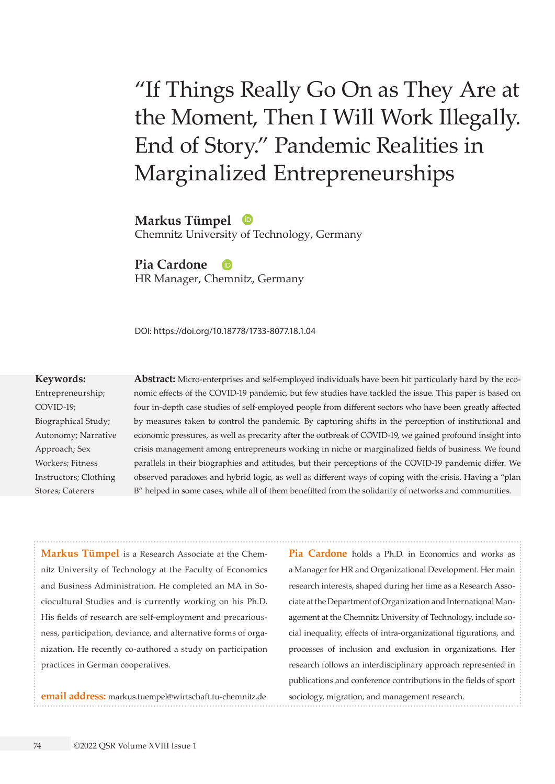# "If Things Really Go On as They Are at the Moment, Then I Will Work Illegally. End of Story." Pandemic Realities in Marginalized Entrepreneurships

**Markus Tümpel**  Chemnitz University of Technology, Germany

**Pia Cardone** 

HR Manager, Chemnitz, Germany

DOI: https://doi.org/10.18778/1733-8077.18.1.04

#### **Keywords:**

Entrepreneurship; COVID-19; Biographical Study; Autonomy; Narrative Approach; Sex Workers; Fitness Instructors; Clothing Stores; Caterers

**Abstract:** Micro-enterprises and self-employed individuals have been hit particularly hard by the economic effects of the COVID-19 pandemic, but few studies have tackled the issue. This paper is based on four in-depth case studies of self-employed people from different sectors who have been greatly affected by measures taken to control the pandemic. By capturing shifts in the perception of institutional and economic pressures, as well as precarity after the outbreak of COVID-19, we gained profound insight into crisis management among entrepreneurs working in niche or marginalized fields of business. We found parallels in their biographies and attitudes, but their perceptions of the COVID-19 pandemic differ. We observed paradoxes and hybrid logic, as well as different ways of coping with the crisis. Having a "plan B" helped in some cases, while all of them benefitted from the solidarity of networks and communities.

**Markus Tümpel** is a Research Associate at the Chemnitz University of Technology at the Faculty of Economics and Business Administration. He completed an MA in Sociocultural Studies and is currently working on his Ph.D. His fields of research are self-employment and precariousness, participation, deviance, and alternative forms of organization. He recently co-authored a study on participation practices in German cooperatives.

**email address:** [markus.tuempel@wirtschaft.tu-chemnitz.de](mailto:markus.tuempel%40wirtschaft.tu-chemnitz.de%0D?subject=)

**Pia Cardone** holds a Ph.D. in Economics and works as a Manager for HR and Organizational Development. Her main research interests, shaped during her time as a Research Associate at the Department of Organization and International Management at the Chemnitz University of Technology, include social inequality, effects of intra-organizational figurations, and processes of inclusion and exclusion in organizations. Her research follows an interdisciplinary approach represented in publications and conference contributions in the fields of sport sociology, migration, and management research.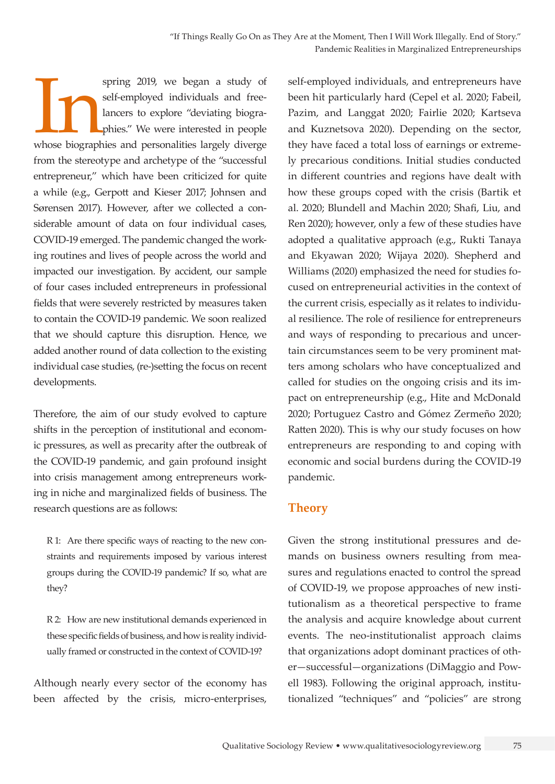spring 2019, we began a study of self-employed individuals and free-<br>lancers to explore "deviating biographies." We were interested in people<br>whose biographies and personalities largely diverge self-employed individuals and freelancers to explore "deviating biographies." We were interested in people from the stereotype and archetype of the "successful entrepreneur," which have been criticized for quite a while (e.g., Gerpott and Kieser 2017; Johnsen and Sørensen 2017). However, after we collected a considerable amount of data on four individual cases, COVID-19 emerged. The pandemic changed the working routines and lives of people across the world and impacted our investigation. By accident, our sample of four cases included entrepreneurs in professional fields that were severely restricted by measures taken to contain the COVID-19 pandemic. We soon realized that we should capture this disruption. Hence, we added another round of data collection to the existing individual case studies, (re-)setting the focus on recent developments.

Therefore, the aim of our study evolved to capture shifts in the perception of institutional and economic pressures, as well as precarity after the outbreak of the COVID-19 pandemic, and gain profound insight into crisis management among entrepreneurs working in niche and marginalized fields of business. The research questions are as follows:

R 1: Are there specific ways of reacting to the new constraints and requirements imposed by various interest groups during the COVID-19 pandemic? If so, what are they?

R 2: How are new institutional demands experienced in these specific fields of business, and how is reality individually framed or constructed in the context of COVID-19?

Although nearly every sector of the economy has been affected by the crisis, micro-enterprises,

self-employed individuals, and entrepreneurs have been hit particularly hard (Cepel et al. 2020; Fabeil, Pazim, and Langgat 2020; Fairlie 2020; Kartseva and Kuznetsova 2020). Depending on the sector, they have faced a total loss of earnings or extremely precarious conditions. Initial studies conducted in different countries and regions have dealt with how these groups coped with the crisis (Bartik et al. 2020; Blundell and Machin 2020; Shafi, Liu, and Ren 2020); however, only a few of these studies have adopted a qualitative approach (e.g., Rukti Tanaya and Ekyawan 2020; Wijaya 2020). Shepherd and Williams (2020) emphasized the need for studies focused on entrepreneurial activities in the context of the current crisis, especially as it relates to individual resilience. The role of resilience for entrepreneurs and ways of responding to precarious and uncertain circumstances seem to be very prominent matters among scholars who have conceptualized and called for studies on the ongoing crisis and its impact on entrepreneurship (e.g., Hite and McDonald 2020; Portuguez Castro and Gómez Zermeño 2020; Ratten 2020). This is why our study focuses on how entrepreneurs are responding to and coping with economic and social burdens during the COVID-19 pandemic.

# **Theory**

Given the strong institutional pressures and demands on business owners resulting from measures and regulations enacted to control the spread of COVID-19, we propose approaches of new institutionalism as a theoretical perspective to frame the analysis and acquire knowledge about current events. The neo-institutionalist approach claims that organizations adopt dominant practices of other—successful—organizations (DiMaggio and Powell 1983). Following the original approach, institutionalized "techniques" and "policies" are strong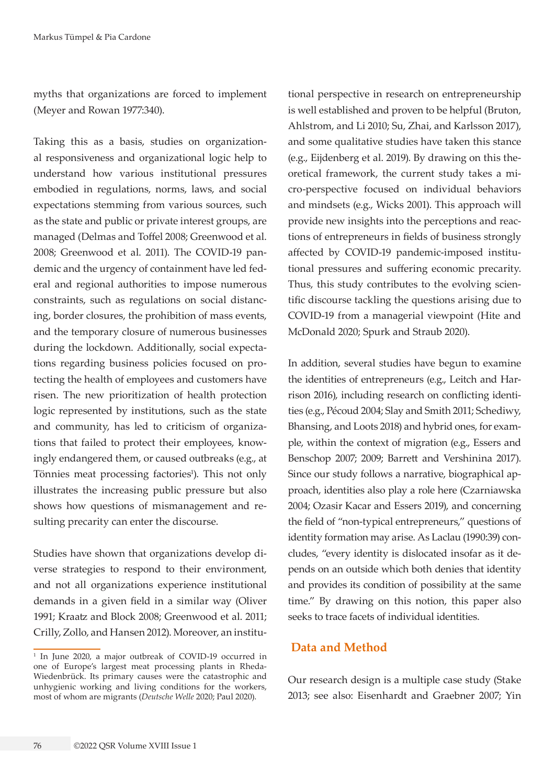myths that organizations are forced to implement (Meyer and Rowan 1977:340).

Taking this as a basis, studies on organizational responsiveness and organizational logic help to understand how various institutional pressures embodied in regulations, norms, laws, and social expectations stemming from various sources, such as the state and public or private interest groups, are managed (Delmas and Toffel 2008; Greenwood et al. 2008; Greenwood et al. 2011). The COVID-19 pandemic and the urgency of containment have led federal and regional authorities to impose numerous constraints, such as regulations on social distancing, border closures, the prohibition of mass events, and the temporary closure of numerous businesses during the lockdown. Additionally, social expectations regarding business policies focused on protecting the health of employees and customers have risen. The new prioritization of health protection logic represented by institutions, such as the state and community, has led to criticism of organizations that failed to protect their employees, knowingly endangered them, or caused outbreaks (e.g., at Tönnies meat processing factories<sup>1</sup>). This not only illustrates the increasing public pressure but also shows how questions of mismanagement and resulting precarity can enter the discourse.

Studies have shown that organizations develop diverse strategies to respond to their environment, and not all organizations experience institutional demands in a given field in a similar way (Oliver 1991; Kraatz and Block 2008; Greenwood et al. 2011; Crilly, Zollo, and Hansen 2012). Moreover, an institu-

tional perspective in research on entrepreneurship is well established and proven to be helpful (Bruton, Ahlstrom, and Li 2010; Su, Zhai, and Karlsson 2017), and some qualitative studies have taken this stance (e.g., Eijdenberg et al. 2019). By drawing on this theoretical framework, the current study takes a micro-perspective focused on individual behaviors and mindsets (e.g., Wicks 2001). This approach will provide new insights into the perceptions and reactions of entrepreneurs in fields of business strongly affected by COVID-19 pandemic-imposed institutional pressures and suffering economic precarity. Thus, this study contributes to the evolving scientific discourse tackling the questions arising due to COVID-19 from a managerial viewpoint (Hite and McDonald 2020; Spurk and Straub 2020).

In addition, several studies have begun to examine the identities of entrepreneurs (e.g., Leitch and Harrison 2016), including research on conflicting identities (e.g., Pécoud 2004; Slay and Smith 2011; Schediwy, Bhansing, and Loots 2018) and hybrid ones, for example, within the context of migration (e.g., Essers and Benschop 2007; 2009; Barrett and Vershinina 2017). Since our study follows a narrative, biographical approach, identities also play a role here (Czarniawska 2004; Ozasir Kacar and Essers 2019), and concerning the field of "non-typical entrepreneurs," questions of identity formation may arise. As Laclau (1990:39) concludes, "every identity is dislocated insofar as it depends on an outside which both denies that identity and provides its condition of possibility at the same time." By drawing on this notion, this paper also seeks to trace facets of individual identities.

# **Data and Method**

Our research design is a multiple case study (Stake 2013; see also: Eisenhardt and Graebner 2007; Yin

<sup>1</sup> In June 2020, a major outbreak of COVID-19 occurred in one of Europe's largest meat processing plants in Rheda-Wiedenbrück. Its primary causes were the catastrophic and unhygienic working and living conditions for the workers, most of whom are migrants (*Deutsche Welle* 2020; Paul 2020).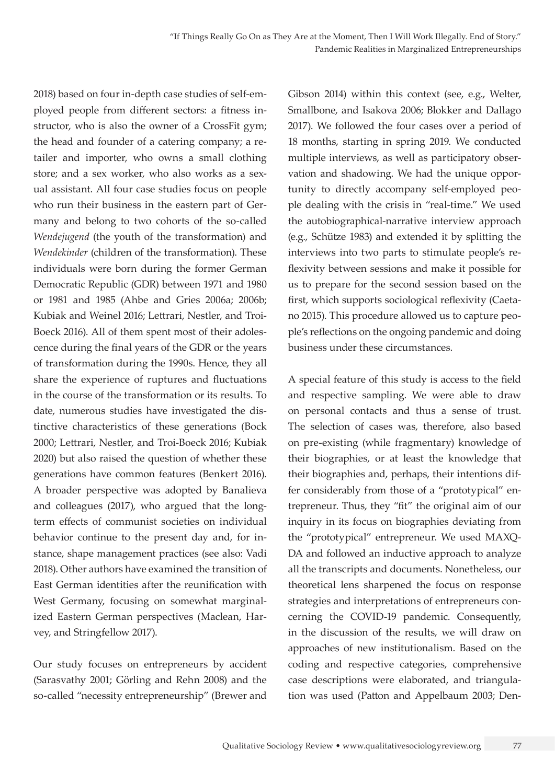2018) based on four in-depth case studies of self-employed people from different sectors: a fitness instructor, who is also the owner of a CrossFit gym; the head and founder of a catering company; a retailer and importer, who owns a small clothing store; and a sex worker, who also works as a sexual assistant. All four case studies focus on people who run their business in the eastern part of Germany and belong to two cohorts of the so-called *Wendejugend* (the youth of the transformation) and *Wendekinder* (children of the transformation). These individuals were born during the former German Democratic Republic (GDR) between 1971 and 1980 or 1981 and 1985 (Ahbe and Gries 2006a; 2006b; Kubiak and Weinel 2016; Lettrari, Nestler, and Troi-Boeck 2016). All of them spent most of their adolescence during the final years of the GDR or the years of transformation during the 1990s. Hence, they all share the experience of ruptures and fluctuations in the course of the transformation or its results. To date, numerous studies have investigated the distinctive characteristics of these generations (Bock 2000; Lettrari, Nestler, and Troi-Boeck 2016; Kubiak 2020) but also raised the question of whether these generations have common features (Benkert 2016). A broader perspective was adopted by Banalieva and colleagues (2017), who argued that the longterm effects of communist societies on individual behavior continue to the present day and, for instance, shape management practices (see also: Vadi 2018). Other authors have examined the transition of East German identities after the reunification with West Germany, focusing on somewhat marginalized Eastern German perspectives (Maclean, Harvey, and Stringfellow 2017).

Our study focuses on entrepreneurs by accident (Sarasvathy 2001; Görling and Rehn 2008) and the so-called "necessity entrepreneurship" (Brewer and Gibson 2014) within this context (see, e.g., Welter, Smallbone, and Isakova 2006; Blokker and Dallago 2017). We followed the four cases over a period of 18 months, starting in spring 2019. We conducted multiple interviews, as well as participatory observation and shadowing. We had the unique opportunity to directly accompany self-employed people dealing with the crisis in "real-time." We used the autobiographical-narrative interview approach (e.g., Schütze 1983) and extended it by splitting the interviews into two parts to stimulate people's reflexivity between sessions and make it possible for us to prepare for the second session based on the first, which supports sociological reflexivity (Caetano 2015). This procedure allowed us to capture people's reflections on the ongoing pandemic and doing business under these circumstances.

A special feature of this study is access to the field and respective sampling. We were able to draw on personal contacts and thus a sense of trust. The selection of cases was, therefore, also based on pre-existing (while fragmentary) knowledge of their biographies, or at least the knowledge that their biographies and, perhaps, their intentions differ considerably from those of a "prototypical" entrepreneur. Thus, they "fit" the original aim of our inquiry in its focus on biographies deviating from the "prototypical" entrepreneur. We used MAXQ-DA and followed an inductive approach to analyze all the transcripts and documents. Nonetheless, our theoretical lens sharpened the focus on response strategies and interpretations of entrepreneurs concerning the COVID-19 pandemic. Consequently, in the discussion of the results, we will draw on approaches of new institutionalism. Based on the coding and respective categories, comprehensive case descriptions were elaborated, and triangulation was used (Patton and Appelbaum 2003; Den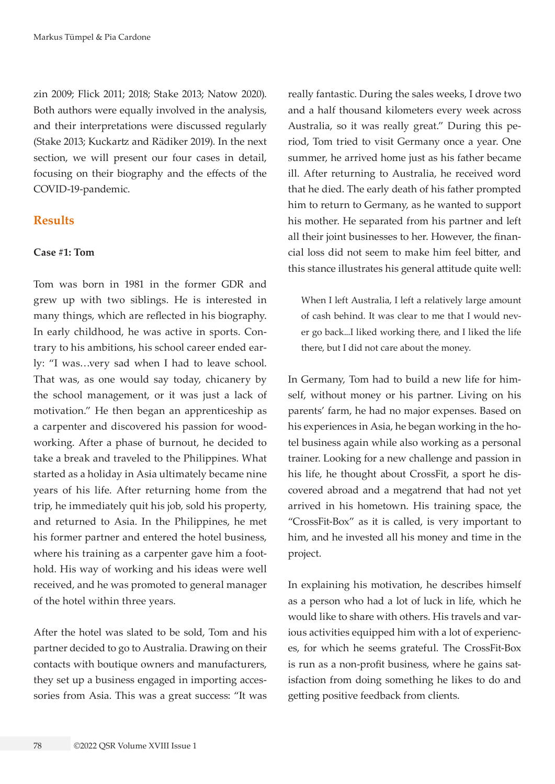zin 2009; Flick 2011; 2018; Stake 2013; Natow 2020). Both authors were equally involved in the analysis, and their interpretations were discussed regularly (Stake 2013; Kuckartz and Rädiker 2019). In the next section, we will present our four cases in detail, focusing on their biography and the effects of the COVID-19-pandemic.

## **Results**

#### **Case #1: Tom**

Tom was born in 1981 in the former GDR and grew up with two siblings. He is interested in many things, which are reflected in his biography. In early childhood, he was active in sports. Contrary to his ambitions, his school career ended early: "I was…very sad when I had to leave school. That was, as one would say today, chicanery by the school management, or it was just a lack of motivation." He then began an apprenticeship as a carpenter and discovered his passion for woodworking. After a phase of burnout, he decided to take a break and traveled to the Philippines. What started as a holiday in Asia ultimately became nine years of his life. After returning home from the trip, he immediately quit his job, sold his property, and returned to Asia. In the Philippines, he met his former partner and entered the hotel business, where his training as a carpenter gave him a foothold. His way of working and his ideas were well received, and he was promoted to general manager of the hotel within three years.

After the hotel was slated to be sold, Tom and his partner decided to go to Australia. Drawing on their contacts with boutique owners and manufacturers, they set up a business engaged in importing accessories from Asia. This was a great success: "It was

really fantastic. During the sales weeks, I drove two and a half thousand kilometers every week across Australia, so it was really great." During this period, Tom tried to visit Germany once a year. One summer, he arrived home just as his father became ill. After returning to Australia, he received word that he died. The early death of his father prompted him to return to Germany, as he wanted to support his mother. He separated from his partner and left all their joint businesses to her. However, the financial loss did not seem to make him feel bitter, and this stance illustrates his general attitude quite well:

When I left Australia, I left a relatively large amount of cash behind. It was clear to me that I would never go back...I liked working there, and I liked the life there, but I did not care about the money.

In Germany, Tom had to build a new life for himself, without money or his partner. Living on his parents' farm, he had no major expenses. Based on his experiences in Asia, he began working in the hotel business again while also working as a personal trainer. Looking for a new challenge and passion in his life, he thought about CrossFit, a sport he discovered abroad and a megatrend that had not yet arrived in his hometown. His training space, the "CrossFit-Box" as it is called, is very important to him, and he invested all his money and time in the project.

In explaining his motivation, he describes himself as a person who had a lot of luck in life, which he would like to share with others. His travels and various activities equipped him with a lot of experiences, for which he seems grateful. The CrossFit-Box is run as a non-profit business, where he gains satisfaction from doing something he likes to do and getting positive feedback from clients.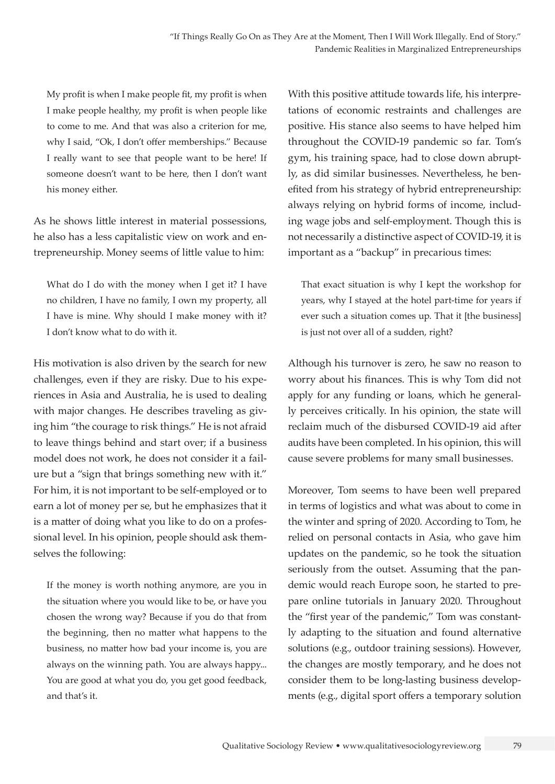My profit is when I make people fit, my profit is when I make people healthy, my profit is when people like to come to me. And that was also a criterion for me, why I said, "Ok, I don't offer memberships." Because I really want to see that people want to be here! If someone doesn't want to be here, then I don't want his money either.

As he shows little interest in material possessions, he also has a less capitalistic view on work and entrepreneurship. Money seems of little value to him:

What do I do with the money when I get it? I have no children, I have no family, I own my property, all I have is mine. Why should I make money with it? I don't know what to do with it.

His motivation is also driven by the search for new challenges, even if they are risky. Due to his experiences in Asia and Australia, he is used to dealing with major changes. He describes traveling as giving him "the courage to risk things." He is not afraid to leave things behind and start over; if a business model does not work, he does not consider it a failure but a "sign that brings something new with it." For him, it is not important to be self-employed or to earn a lot of money per se, but he emphasizes that it is a matter of doing what you like to do on a professional level. In his opinion, people should ask themselves the following:

If the money is worth nothing anymore, are you in the situation where you would like to be, or have you chosen the wrong way? Because if you do that from the beginning, then no matter what happens to the business, no matter how bad your income is, you are always on the winning path. You are always happy... You are good at what you do, you get good feedback, and that's it.

With this positive attitude towards life, his interpretations of economic restraints and challenges are positive. His stance also seems to have helped him throughout the COVID-19 pandemic so far. Tom's gym, his training space, had to close down abruptly, as did similar businesses. Nevertheless, he benefited from his strategy of hybrid entrepreneurship: always relying on hybrid forms of income, including wage jobs and self-employment. Though this is not necessarily a distinctive aspect of COVID-19, it is important as a "backup" in precarious times:

That exact situation is why I kept the workshop for years, why I stayed at the hotel part-time for years if ever such a situation comes up. That it [the business] is just not over all of a sudden, right?

Although his turnover is zero, he saw no reason to worry about his finances. This is why Tom did not apply for any funding or loans, which he generally perceives critically. In his opinion, the state will reclaim much of the disbursed COVID-19 aid after audits have been completed. In his opinion, this will cause severe problems for many small businesses.

Moreover, Tom seems to have been well prepared in terms of logistics and what was about to come in the winter and spring of 2020. According to Tom, he relied on personal contacts in Asia, who gave him updates on the pandemic, so he took the situation seriously from the outset. Assuming that the pandemic would reach Europe soon, he started to prepare online tutorials in January 2020. Throughout the "first year of the pandemic," Tom was constantly adapting to the situation and found alternative solutions (e.g., outdoor training sessions). However, the changes are mostly temporary, and he does not consider them to be long-lasting business developments (e.g., digital sport offers a temporary solution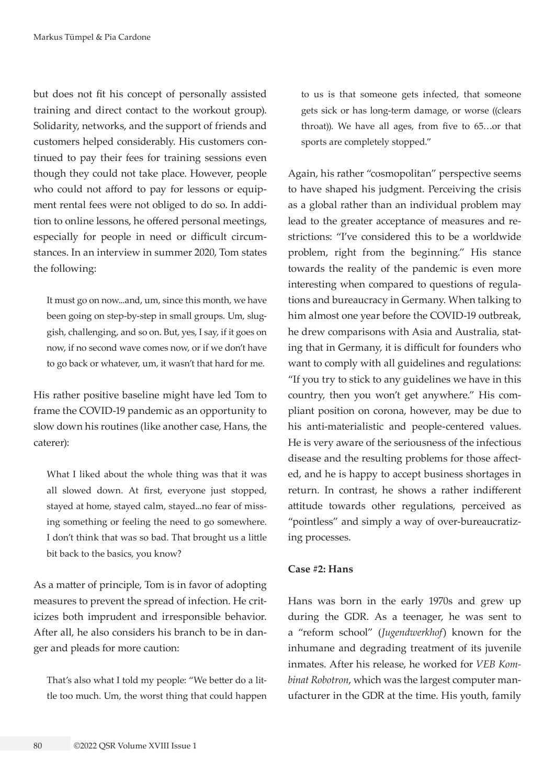but does not fit his concept of personally assisted training and direct contact to the workout group). Solidarity, networks, and the support of friends and customers helped considerably. His customers continued to pay their fees for training sessions even though they could not take place. However, people who could not afford to pay for lessons or equipment rental fees were not obliged to do so. In addition to online lessons, he offered personal meetings, especially for people in need or difficult circumstances. In an interview in summer 2020, Tom states the following:

It must go on now...and, um, since this month, we have been going on step-by-step in small groups. Um, sluggish, challenging, and so on. But, yes, I say, if it goes on now, if no second wave comes now, or if we don't have to go back or whatever, um, it wasn't that hard for me.

His rather positive baseline might have led Tom to frame the COVID-19 pandemic as an opportunity to slow down his routines (like another case, Hans, the caterer):

What I liked about the whole thing was that it was all slowed down. At first, everyone just stopped, stayed at home, stayed calm, stayed...no fear of missing something or feeling the need to go somewhere. I don't think that was so bad. That brought us a little bit back to the basics, you know?

As a matter of principle, Tom is in favor of adopting measures to prevent the spread of infection. He criticizes both imprudent and irresponsible behavior. After all, he also considers his branch to be in danger and pleads for more caution:

That's also what I told my people: "We better do a little too much. Um, the worst thing that could happen to us is that someone gets infected, that someone gets sick or has long-term damage, or worse ((clears throat)). We have all ages, from five to 65…or that sports are completely stopped."

Again, his rather "cosmopolitan" perspective seems to have shaped his judgment. Perceiving the crisis as a global rather than an individual problem may lead to the greater acceptance of measures and restrictions: "I've considered this to be a worldwide problem, right from the beginning." His stance towards the reality of the pandemic is even more interesting when compared to questions of regulations and bureaucracy in Germany. When talking to him almost one year before the COVID-19 outbreak, he drew comparisons with Asia and Australia, stating that in Germany, it is difficult for founders who want to comply with all guidelines and regulations: "If you try to stick to any guidelines we have in this country, then you won't get anywhere." His compliant position on corona, however, may be due to his anti-materialistic and people-centered values. He is very aware of the seriousness of the infectious disease and the resulting problems for those affected, and he is happy to accept business shortages in return. In contrast, he shows a rather indifferent attitude towards other regulations, perceived as "pointless" and simply a way of over-bureaucratizing processes.

#### **Case #2: Hans**

Hans was born in the early 1970s and grew up during the GDR. As a teenager, he was sent to a "reform school" (*Jugendwerkhof*) known for the inhumane and degrading treatment of its juvenile inmates. After his release, he worked for *VEB Kombinat Robotron*, which was the largest computer manufacturer in the GDR at the time. His youth, family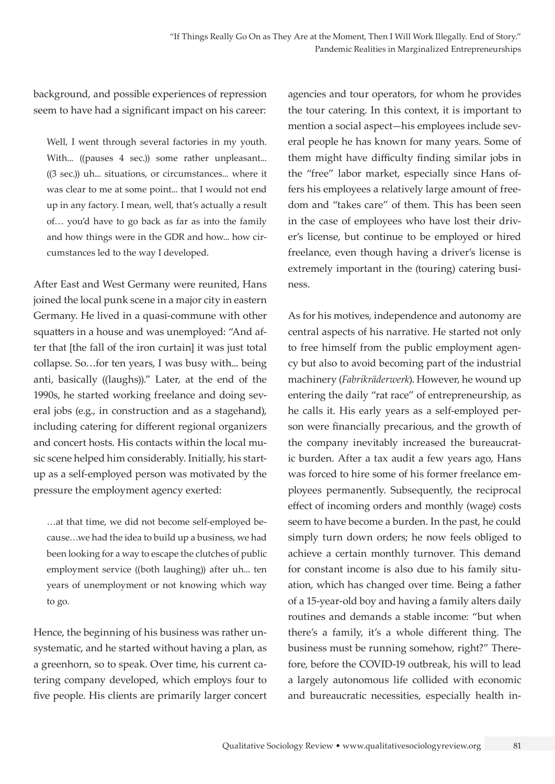background, and possible experiences of repression seem to have had a significant impact on his career:

Well, I went through several factories in my youth. With... ((pauses 4 sec.)) some rather unpleasant... ((3 sec.)) uh... situations, or circumstances... where it was clear to me at some point... that I would not end up in any factory. I mean, well, that's actually a result of… you'd have to go back as far as into the family and how things were in the GDR and how... how circumstances led to the way I developed.

After East and West Germany were reunited, Hans joined the local punk scene in a major city in eastern Germany. He lived in a quasi-commune with other squatters in a house and was unemployed: "And after that [the fall of the iron curtain] it was just total collapse. So…for ten years, I was busy with... being anti, basically ((laughs))." Later, at the end of the 1990s, he started working freelance and doing several jobs (e.g., in construction and as a stagehand), including catering for different regional organizers and concert hosts. His contacts within the local music scene helped him considerably. Initially, his startup as a self-employed person was motivated by the pressure the employment agency exerted:

…at that time, we did not become self-employed because…we had the idea to build up a business, we had been looking for a way to escape the clutches of public employment service ((both laughing)) after uh... ten years of unemployment or not knowing which way to go.

Hence, the beginning of his business was rather unsystematic, and he started without having a plan, as a greenhorn, so to speak. Over time, his current catering company developed, which employs four to five people. His clients are primarily larger concert

agencies and tour operators, for whom he provides the tour catering. In this context, it is important to mention a social aspect—his employees include several people he has known for many years. Some of them might have difficulty finding similar jobs in the "free" labor market, especially since Hans offers his employees a relatively large amount of freedom and "takes care" of them. This has been seen in the case of employees who have lost their driver's license, but continue to be employed or hired freelance, even though having a driver's license is extremely important in the (touring) catering business.

As for his motives, independence and autonomy are central aspects of his narrative. He started not only to free himself from the public employment agency but also to avoid becoming part of the industrial machinery (*Fabrikräderwerk*). However, he wound up entering the daily "rat race" of entrepreneurship, as he calls it. His early years as a self-employed person were financially precarious, and the growth of the company inevitably increased the bureaucratic burden. After a tax audit a few years ago, Hans was forced to hire some of his former freelance employees permanently. Subsequently, the reciprocal effect of incoming orders and monthly (wage) costs seem to have become a burden. In the past, he could simply turn down orders; he now feels obliged to achieve a certain monthly turnover. This demand for constant income is also due to his family situation, which has changed over time. Being a father of a 15-year-old boy and having a family alters daily routines and demands a stable income: "but when there's a family, it's a whole different thing. The business must be running somehow, right?" Therefore, before the COVID-19 outbreak, his will to lead a largely autonomous life collided with economic and bureaucratic necessities, especially health in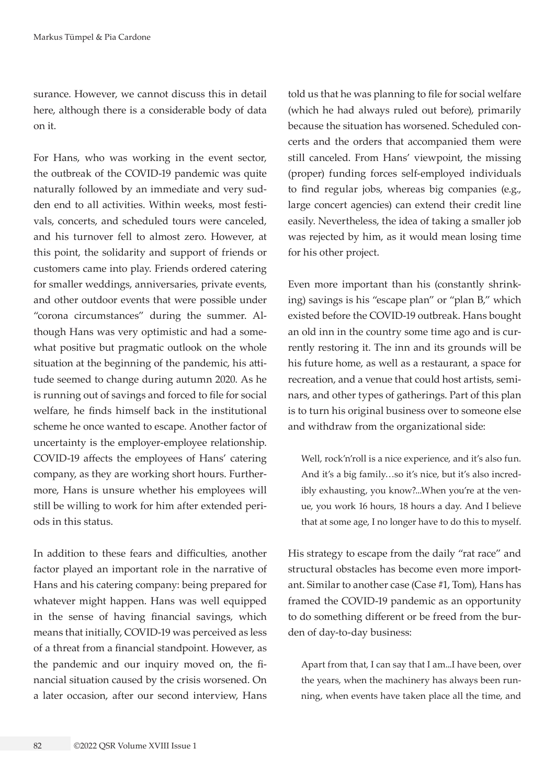surance. However, we cannot discuss this in detail here, although there is a considerable body of data on it.

For Hans, who was working in the event sector, the outbreak of the COVID-19 pandemic was quite naturally followed by an immediate and very sudden end to all activities. Within weeks, most festivals, concerts, and scheduled tours were canceled, and his turnover fell to almost zero. However, at this point, the solidarity and support of friends or customers came into play. Friends ordered catering for smaller weddings, anniversaries, private events, and other outdoor events that were possible under "corona circumstances" during the summer. Although Hans was very optimistic and had a somewhat positive but pragmatic outlook on the whole situation at the beginning of the pandemic, his attitude seemed to change during autumn 2020. As he is running out of savings and forced to file for social welfare, he finds himself back in the institutional scheme he once wanted to escape. Another factor of uncertainty is the employer-employee relationship. COVID-19 affects the employees of Hans' catering company, as they are working short hours. Furthermore, Hans is unsure whether his employees will still be willing to work for him after extended periods in this status.

In addition to these fears and difficulties, another factor played an important role in the narrative of Hans and his catering company: being prepared for whatever might happen. Hans was well equipped in the sense of having financial savings, which means that initially, COVID-19 was perceived as less of a threat from a financial standpoint. However, as the pandemic and our inquiry moved on, the financial situation caused by the crisis worsened. On a later occasion, after our second interview, Hans

told us that he was planning to file for social welfare (which he had always ruled out before), primarily because the situation has worsened. Scheduled concerts and the orders that accompanied them were still canceled. From Hans' viewpoint, the missing (proper) funding forces self-employed individuals to find regular jobs, whereas big companies (e.g., large concert agencies) can extend their credit line easily. Nevertheless, the idea of taking a smaller job was rejected by him, as it would mean losing time for his other project.

Even more important than his (constantly shrinking) savings is his "escape plan" or "plan B," which existed before the COVID-19 outbreak. Hans bought an old inn in the country some time ago and is currently restoring it. The inn and its grounds will be his future home, as well as a restaurant, a space for recreation, and a venue that could host artists, seminars, and other types of gatherings. Part of this plan is to turn his original business over to someone else and withdraw from the organizational side:

Well, rock'n'roll is a nice experience, and it's also fun. And it's a big family…so it's nice, but it's also incredibly exhausting, you know?...When you're at the venue, you work 16 hours, 18 hours a day. And I believe that at some age, I no longer have to do this to myself.

His strategy to escape from the daily "rat race" and structural obstacles has become even more important. Similar to another case (Case #1, Tom), Hans has framed the COVID-19 pandemic as an opportunity to do something different or be freed from the burden of day-to-day business:

Apart from that, I can say that I am...I have been, over the years, when the machinery has always been running, when events have taken place all the time, and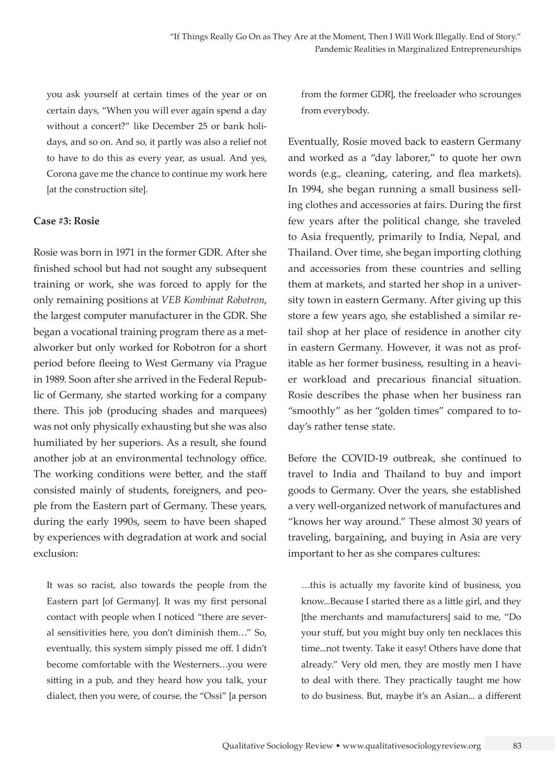you ask yourself at certain times of the year or on certain days, "When you will ever again spend a day without a concert?" like December 25 or bank holidays, and so on. And so, it partly was also a relief not to have to do this as every year, as usual. And yes, Corona gave me the chance to continue my work here [at the construction site].

#### **Case #3: Rosie**

Rosie was born in 1971 in the former GDR. After she finished school but had not sought any subsequent training or work, she was forced to apply for the only remaining positions at *VEB Kombinat Robotron*, the largest computer manufacturer in the GDR. She began a vocational training program there as a metalworker but only worked for Robotron for a short period before fleeing to West Germany via Prague in 1989. Soon after she arrived in the Federal Republic of Germany, she started working for a company there. This job (producing shades and marquees) was not only physically exhausting but she was also humiliated by her superiors. As a result, she found another job at an environmental technology office. The working conditions were better, and the staff consisted mainly of students, foreigners, and people from the Eastern part of Germany. These years, during the early 1990s, seem to have been shaped by experiences with degradation at work and social exclusion:

It was so racist, also towards the people from the Eastern part [of Germany]. It was my first personal contact with people when I noticed "there are several sensitivities here, you don't diminish them…" So, eventually, this system simply pissed me off. I didn't become comfortable with the Westerners…you were sitting in a pub, and they heard how you talk, your dialect, then you were, of course, the "Ossi" [a person from the former GDR], the freeloader who scrounges from everybody.

Eventually, Rosie moved back to eastern Germany and worked as a "day laborer," to quote her own words (e.g., cleaning, catering, and flea markets). In 1994, she began running a small business selling clothes and accessories at fairs. During the first few years after the political change, she traveled to Asia frequently, primarily to India, Nepal, and Thailand. Over time, she began importing clothing and accessories from these countries and selling them at markets, and started her shop in a university town in eastern Germany. After giving up this store a few years ago, she established a similar retail shop at her place of residence in another city in eastern Germany. However, it was not as profitable as her former business, resulting in a heavier workload and precarious financial situation. Rosie describes the phase when her business ran "smoothly" as her "golden times" compared to today's rather tense state.

Before the COVID-19 outbreak, she continued to travel to India and Thailand to buy and import goods to Germany. Over the years, she established a very well-organized network of manufactures and "knows her way around." These almost 30 years of traveling, bargaining, and buying in Asia are very important to her as she compares cultures:

…this is actually my favorite kind of business, you know...Because I started there as a little girl, and they [the merchants and manufacturers] said to me, "Do your stuff, but you might buy only ten necklaces this time...not twenty. Take it easy! Others have done that already." Very old men, they are mostly men I have to deal with there. They practically taught me how to do business. But, maybe it's an Asian... a different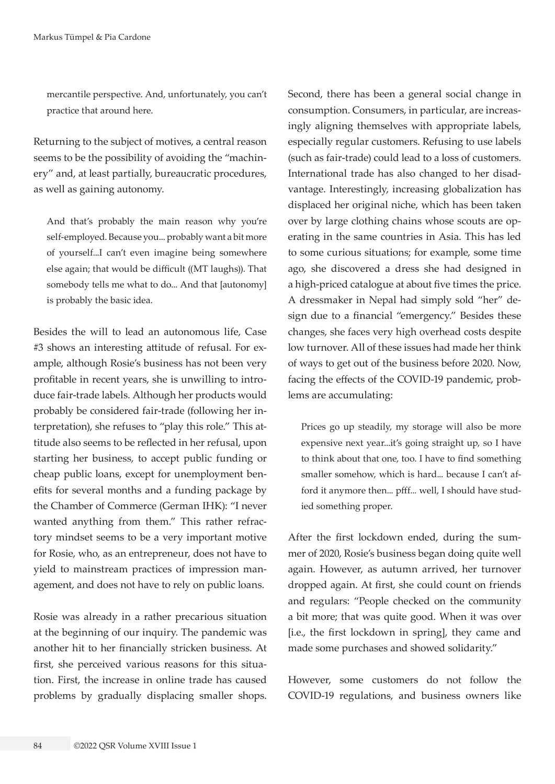mercantile perspective. And, unfortunately, you can't practice that around here.

Returning to the subject of motives, a central reason seems to be the possibility of avoiding the "machinery" and, at least partially, bureaucratic procedures, as well as gaining autonomy.

And that's probably the main reason why you're self-employed. Because you... probably want a bit more of yourself...I can't even imagine being somewhere else again; that would be difficult ((MT laughs)). That somebody tells me what to do... And that [autonomy] is probably the basic idea.

Besides the will to lead an autonomous life, Case #3 shows an interesting attitude of refusal. For example, although Rosie's business has not been very profitable in recent years, she is unwilling to introduce fair-trade labels. Although her products would probably be considered fair-trade (following her interpretation), she refuses to "play this role." This attitude also seems to be reflected in her refusal, upon starting her business, to accept public funding or cheap public loans, except for unemployment benefits for several months and a funding package by the Chamber of Commerce (German IHK): "I never wanted anything from them." This rather refractory mindset seems to be a very important motive for Rosie, who, as an entrepreneur, does not have to yield to mainstream practices of impression management, and does not have to rely on public loans.

Rosie was already in a rather precarious situation at the beginning of our inquiry. The pandemic was another hit to her financially stricken business. At first, she perceived various reasons for this situation. First, the increase in online trade has caused problems by gradually displacing smaller shops.

Second, there has been a general social change in consumption. Consumers, in particular, are increasingly aligning themselves with appropriate labels, especially regular customers. Refusing to use labels (such as fair-trade) could lead to a loss of customers. International trade has also changed to her disadvantage. Interestingly, increasing globalization has displaced her original niche, which has been taken over by large clothing chains whose scouts are operating in the same countries in Asia. This has led to some curious situations; for example, some time ago, she discovered a dress she had designed in a high-priced catalogue at about five times the price. A dressmaker in Nepal had simply sold "her" design due to a financial "emergency." Besides these changes, she faces very high overhead costs despite low turnover. All of these issues had made her think of ways to get out of the business before 2020. Now, facing the effects of the COVID-19 pandemic, problems are accumulating:

Prices go up steadily, my storage will also be more expensive next year...it's going straight up, so I have to think about that one, too. I have to find something smaller somehow, which is hard... because I can't afford it anymore then... pfff... well, I should have studied something proper.

After the first lockdown ended, during the summer of 2020, Rosie's business began doing quite well again. However, as autumn arrived, her turnover dropped again. At first, she could count on friends and regulars: "People checked on the community a bit more; that was quite good. When it was over [i.e., the first lockdown in spring], they came and made some purchases and showed solidarity."

However, some customers do not follow the COVID-19 regulations, and business owners like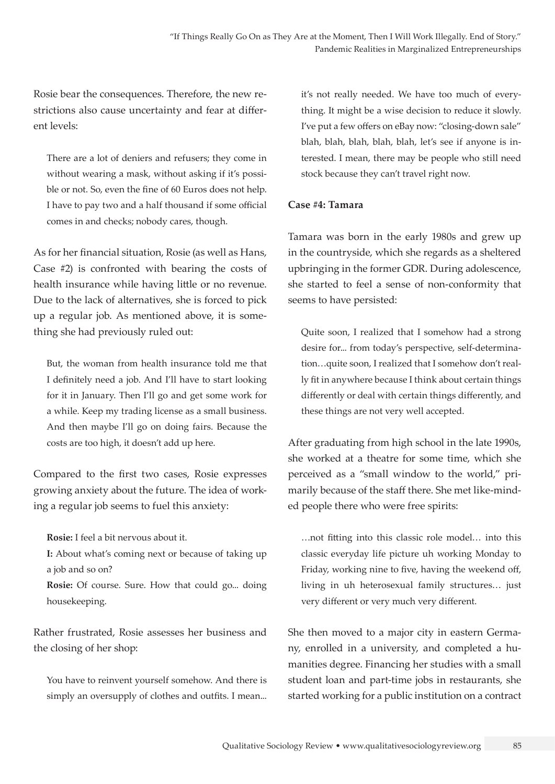Rosie bear the consequences. Therefore, the new restrictions also cause uncertainty and fear at different levels:

There are a lot of deniers and refusers; they come in without wearing a mask, without asking if it's possible or not. So, even the fine of 60 Euros does not help. I have to pay two and a half thousand if some official comes in and checks; nobody cares, though.

As for her financial situation, Rosie (as well as Hans, Case #2) is confronted with bearing the costs of health insurance while having little or no revenue. Due to the lack of alternatives, she is forced to pick up a regular job. As mentioned above, it is something she had previously ruled out:

But, the woman from health insurance told me that I definitely need a job. And I'll have to start looking for it in January. Then I'll go and get some work for a while. Keep my trading license as a small business. And then maybe I'll go on doing fairs. Because the costs are too high, it doesn't add up here.

Compared to the first two cases, Rosie expresses growing anxiety about the future. The idea of working a regular job seems to fuel this anxiety:

**Rosie:** I feel a bit nervous about it.

**I:** About what's coming next or because of taking up a job and so on?

**Rosie:** Of course. Sure. How that could go... doing housekeeping.

Rather frustrated, Rosie assesses her business and the closing of her shop:

You have to reinvent yourself somehow. And there is simply an oversupply of clothes and outfits. I mean... it's not really needed. We have too much of everything. It might be a wise decision to reduce it slowly. I've put a few offers on eBay now: "closing-down sale" blah, blah, blah, blah, blah, let's see if anyone is interested. I mean, there may be people who still need stock because they can't travel right now.

### **Case #4: Tamara**

Tamara was born in the early 1980s and grew up in the countryside, which she regards as a sheltered upbringing in the former GDR. During adolescence, she started to feel a sense of non-conformity that seems to have persisted:

Quite soon, I realized that I somehow had a strong desire for... from today's perspective, self-determination…quite soon, I realized that I somehow don't really fit in anywhere because I think about certain things differently or deal with certain things differently, and these things are not very well accepted.

After graduating from high school in the late 1990s, she worked at a theatre for some time, which she perceived as a "small window to the world," primarily because of the staff there. She met like-minded people there who were free spirits:

…not fitting into this classic role model… into this classic everyday life picture uh working Monday to Friday, working nine to five, having the weekend off, living in uh heterosexual family structures… just very different or very much very different.

She then moved to a major city in eastern Germany, enrolled in a university, and completed a humanities degree. Financing her studies with a small student loan and part-time jobs in restaurants, she started working for a public institution on a contract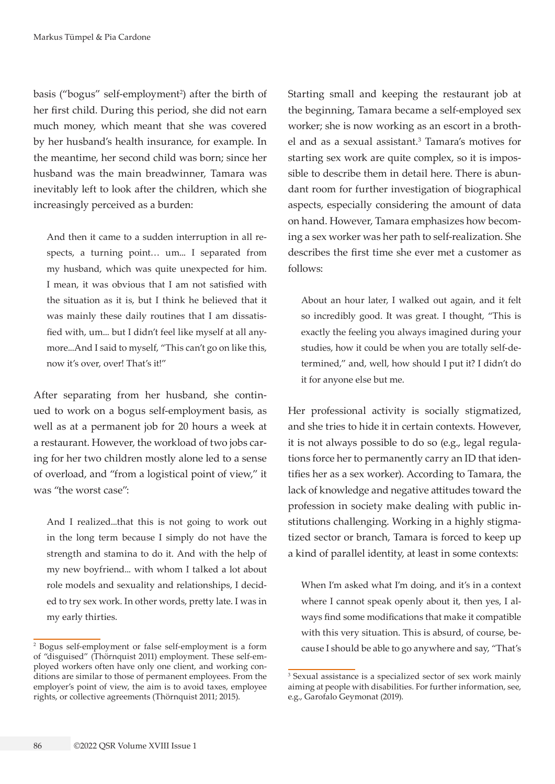basis ("bogus" self-employment<sup>2</sup>) after the birth of her first child. During this period, she did not earn much money, which meant that she was covered by her husband's health insurance, for example. In the meantime, her second child was born; since her husband was the main breadwinner, Tamara was inevitably left to look after the children, which she increasingly perceived as a burden:

And then it came to a sudden interruption in all respects, a turning point… um... I separated from my husband, which was quite unexpected for him. I mean, it was obvious that I am not satisfied with the situation as it is, but I think he believed that it was mainly these daily routines that I am dissatisfied with, um... but I didn't feel like myself at all anymore...And I said to myself, "This can't go on like this, now it's over, over! That's it!"

After separating from her husband, she continued to work on a bogus self-employment basis, as well as at a permanent job for 20 hours a week at a restaurant. However, the workload of two jobs caring for her two children mostly alone led to a sense of overload, and "from a logistical point of view," it was "the worst case":

And I realized...that this is not going to work out in the long term because I simply do not have the strength and stamina to do it. And with the help of my new boyfriend... with whom I talked a lot about role models and sexuality and relationships, I decided to try sex work. In other words, pretty late. I was in my early thirties.

Starting small and keeping the restaurant job at the beginning, Tamara became a self-employed sex worker; she is now working as an escort in a brothel and as a sexual assistant.<sup>3</sup> Tamara's motives for starting sex work are quite complex, so it is impossible to describe them in detail here. There is abundant room for further investigation of biographical aspects, especially considering the amount of data on hand. However, Tamara emphasizes how becoming a sex worker was her path to self-realization. She describes the first time she ever met a customer as follows:

About an hour later, I walked out again, and it felt so incredibly good. It was great. I thought, "This is exactly the feeling you always imagined during your studies, how it could be when you are totally self-determined," and, well, how should I put it? I didn't do it for anyone else but me.

Her professional activity is socially stigmatized, and she tries to hide it in certain contexts. However, it is not always possible to do so (e.g., legal regulations force her to permanently carry an ID that identifies her as a sex worker). According to Tamara, the lack of knowledge and negative attitudes toward the profession in society make dealing with public institutions challenging. Working in a highly stigmatized sector or branch, Tamara is forced to keep up a kind of parallel identity, at least in some contexts:

When I'm asked what I'm doing, and it's in a context where I cannot speak openly about it, then yes, I always find some modifications that make it compatible with this very situation. This is absurd, of course, because I should be able to go anywhere and say, "That's

<sup>2</sup> Bogus self-employment or false self-employment is a form of "disguised" (Thörnquist 2011) employment. These self-employed workers often have only one client, and working conditions are similar to those of permanent employees. From the employer's point of view, the aim is to avoid taxes, employee rights, or collective agreements (Thörnquist 2011; 2015).

<sup>3</sup> Sexual assistance is a specialized sector of sex work mainly aiming at people with disabilities. For further information, see, e.g., Garofalo Geymonat (2019).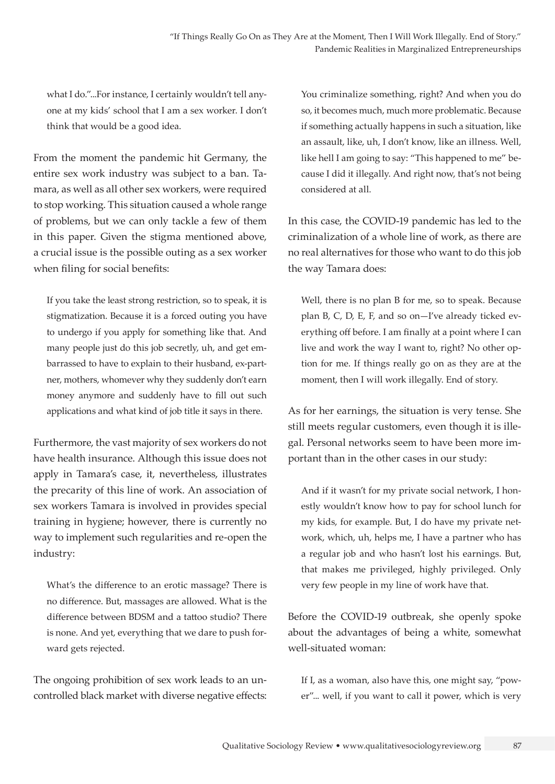what I do."...For instance, I certainly wouldn't tell anyone at my kids' school that I am a sex worker. I don't think that would be a good idea.

From the moment the pandemic hit Germany, the entire sex work industry was subject to a ban. Tamara, as well as all other sex workers, were required to stop working. This situation caused a whole range of problems, but we can only tackle a few of them in this paper. Given the stigma mentioned above, a crucial issue is the possible outing as a sex worker when filing for social benefits:

If you take the least strong restriction, so to speak, it is stigmatization. Because it is a forced outing you have to undergo if you apply for something like that. And many people just do this job secretly, uh, and get embarrassed to have to explain to their husband, ex-partner, mothers, whomever why they suddenly don't earn money anymore and suddenly have to fill out such applications and what kind of job title it says in there.

Furthermore, the vast majority of sex workers do not have health insurance. Although this issue does not apply in Tamara's case, it, nevertheless, illustrates the precarity of this line of work. An association of sex workers Tamara is involved in provides special training in hygiene; however, there is currently no way to implement such regularities and re-open the industry:

What's the difference to an erotic massage? There is no difference. But, massages are allowed. What is the difference between BDSM and a tattoo studio? There is none. And yet, everything that we dare to push forward gets rejected.

The ongoing prohibition of sex work leads to an uncontrolled black market with diverse negative effects: You criminalize something, right? And when you do so, it becomes much, much more problematic. Because if something actually happens in such a situation, like an assault, like, uh, I don't know, like an illness. Well, like hell I am going to say: "This happened to me" because I did it illegally. And right now, that's not being considered at all.

In this case, the COVID-19 pandemic has led to the criminalization of a whole line of work, as there are no real alternatives for those who want to do this job the way Tamara does:

Well, there is no plan B for me, so to speak. Because plan B, C, D, E, F, and so on—I've already ticked everything off before. I am finally at a point where I can live and work the way I want to, right? No other option for me. If things really go on as they are at the moment, then I will work illegally. End of story.

As for her earnings, the situation is very tense. She still meets regular customers, even though it is illegal. Personal networks seem to have been more important than in the other cases in our study:

And if it wasn't for my private social network, I honestly wouldn't know how to pay for school lunch for my kids, for example. But, I do have my private network, which, uh, helps me, I have a partner who has a regular job and who hasn't lost his earnings. But, that makes me privileged, highly privileged. Only very few people in my line of work have that.

Before the COVID-19 outbreak, she openly spoke about the advantages of being a white, somewhat well-situated woman:

If I, as a woman, also have this, one might say, "power"... well, if you want to call it power, which is very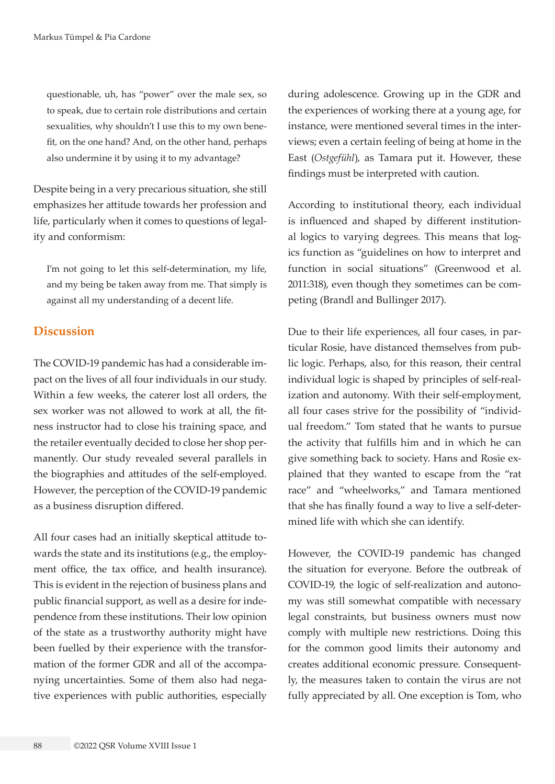questionable, uh, has "power" over the male sex, so to speak, due to certain role distributions and certain sexualities, why shouldn't I use this to my own benefit, on the one hand? And, on the other hand, perhaps also undermine it by using it to my advantage?

Despite being in a very precarious situation, she still emphasizes her attitude towards her profession and life, particularly when it comes to questions of legality and conformism:

I'm not going to let this self-determination, my life, and my being be taken away from me. That simply is against all my understanding of a decent life.

# **Discussion**

The COVID-19 pandemic has had a considerable impact on the lives of all four individuals in our study. Within a few weeks, the caterer lost all orders, the sex worker was not allowed to work at all, the fitness instructor had to close his training space, and the retailer eventually decided to close her shop permanently. Our study revealed several parallels in the biographies and attitudes of the self-employed. However, the perception of the COVID-19 pandemic as a business disruption differed.

All four cases had an initially skeptical attitude towards the state and its institutions (e.g., the employment office, the tax office, and health insurance). This is evident in the rejection of business plans and public financial support, as well as a desire for independence from these institutions. Their low opinion of the state as a trustworthy authority might have been fuelled by their experience with the transformation of the former GDR and all of the accompanying uncertainties. Some of them also had negative experiences with public authorities, especially

during adolescence. Growing up in the GDR and the experiences of working there at a young age, for instance, were mentioned several times in the interviews; even a certain feeling of being at home in the East (*Ostgefühl*), as Tamara put it. However, these findings must be interpreted with caution.

According to institutional theory, each individual is influenced and shaped by different institutional logics to varying degrees. This means that logics function as "guidelines on how to interpret and function in social situations" (Greenwood et al. 2011:318), even though they sometimes can be competing (Brandl and Bullinger 2017).

Due to their life experiences, all four cases, in particular Rosie, have distanced themselves from public logic. Perhaps, also, for this reason, their central individual logic is shaped by principles of self-realization and autonomy. With their self-employment, all four cases strive for the possibility of "individual freedom." Tom stated that he wants to pursue the activity that fulfills him and in which he can give something back to society. Hans and Rosie explained that they wanted to escape from the "rat race" and "wheelworks," and Tamara mentioned that she has finally found a way to live a self-determined life with which she can identify.

However, the COVID-19 pandemic has changed the situation for everyone. Before the outbreak of COVID-19, the logic of self-realization and autonomy was still somewhat compatible with necessary legal constraints, but business owners must now comply with multiple new restrictions. Doing this for the common good limits their autonomy and creates additional economic pressure. Consequently, the measures taken to contain the virus are not fully appreciated by all. One exception is Tom, who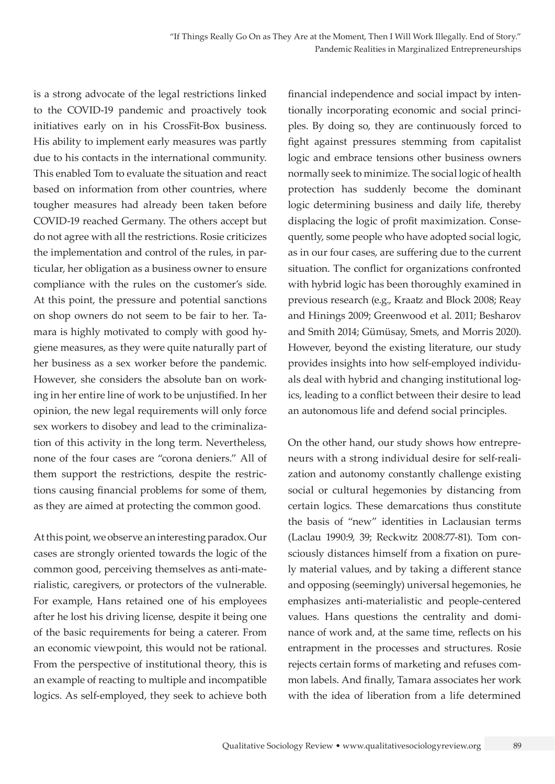is a strong advocate of the legal restrictions linked to the COVID-19 pandemic and proactively took initiatives early on in his CrossFit-Box business. His ability to implement early measures was partly due to his contacts in the international community. This enabled Tom to evaluate the situation and react based on information from other countries, where tougher measures had already been taken before COVID-19 reached Germany. The others accept but do not agree with all the restrictions. Rosie criticizes the implementation and control of the rules, in particular, her obligation as a business owner to ensure compliance with the rules on the customer's side. At this point, the pressure and potential sanctions on shop owners do not seem to be fair to her. Tamara is highly motivated to comply with good hygiene measures, as they were quite naturally part of her business as a sex worker before the pandemic. However, she considers the absolute ban on working in her entire line of work to be unjustified. In her opinion, the new legal requirements will only force sex workers to disobey and lead to the criminalization of this activity in the long term. Nevertheless, none of the four cases are "corona deniers." All of them support the restrictions, despite the restrictions causing financial problems for some of them, as they are aimed at protecting the common good.

At this point, we observe an interesting paradox. Our cases are strongly oriented towards the logic of the common good, perceiving themselves as anti-materialistic, caregivers, or protectors of the vulnerable. For example, Hans retained one of his employees after he lost his driving license, despite it being one of the basic requirements for being a caterer. From an economic viewpoint, this would not be rational. From the perspective of institutional theory, this is an example of reacting to multiple and incompatible logics. As self-employed, they seek to achieve both

financial independence and social impact by intentionally incorporating economic and social principles. By doing so, they are continuously forced to fight against pressures stemming from capitalist logic and embrace tensions other business owners normally seek to minimize. The social logic of health protection has suddenly become the dominant logic determining business and daily life, thereby displacing the logic of profit maximization. Consequently, some people who have adopted social logic, as in our four cases, are suffering due to the current situation. The conflict for organizations confronted with hybrid logic has been thoroughly examined in previous research (e.g., Kraatz and Block 2008; Reay and Hinings 2009; Greenwood et al. 2011; Besharov and Smith 2014; Gümüsay, Smets, and Morris 2020). However, beyond the existing literature, our study provides insights into how self-employed individuals deal with hybrid and changing institutional logics, leading to a conflict between their desire to lead an autonomous life and defend social principles.

On the other hand, our study shows how entrepreneurs with a strong individual desire for self-realization and autonomy constantly challenge existing social or cultural hegemonies by distancing from certain logics. These demarcations thus constitute the basis of "new" identities in Laclausian terms (Laclau 1990:9, 39; Reckwitz 2008:77-81). Tom consciously distances himself from a fixation on purely material values, and by taking a different stance and opposing (seemingly) universal hegemonies, he emphasizes anti-materialistic and people-centered values. Hans questions the centrality and dominance of work and, at the same time, reflects on his entrapment in the processes and structures. Rosie rejects certain forms of marketing and refuses common labels. And finally, Tamara associates her work with the idea of liberation from a life determined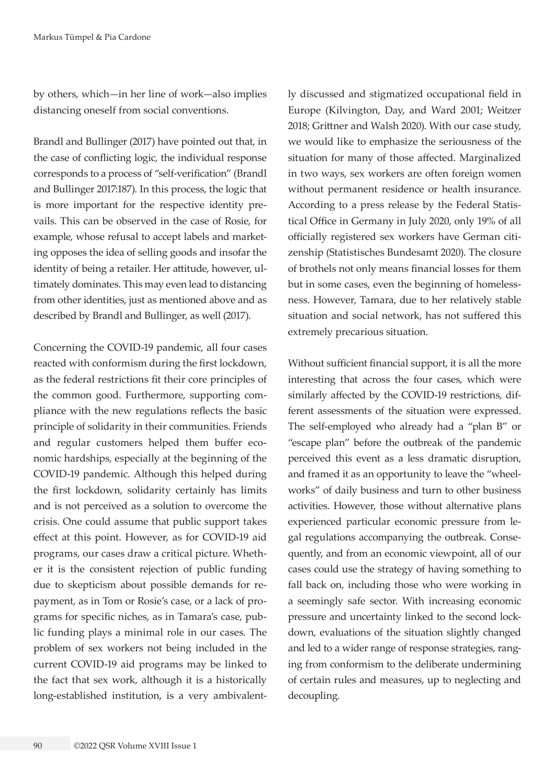by others, which—in her line of work—also implies distancing oneself from social conventions.

Brandl and Bullinger (2017) have pointed out that, in the case of conflicting logic, the individual response corresponds to a process of "self-verification" (Brandl and Bullinger 2017:187). In this process, the logic that is more important for the respective identity prevails. This can be observed in the case of Rosie, for example, whose refusal to accept labels and marketing opposes the idea of selling goods and insofar the identity of being a retailer. Her attitude, however, ultimately dominates. This may even lead to distancing from other identities, just as mentioned above and as described by Brandl and Bullinger, as well (2017).

Concerning the COVID-19 pandemic, all four cases reacted with conformism during the first lockdown, as the federal restrictions fit their core principles of the common good. Furthermore, supporting compliance with the new regulations reflects the basic principle of solidarity in their communities. Friends and regular customers helped them buffer economic hardships, especially at the beginning of the COVID-19 pandemic. Although this helped during the first lockdown, solidarity certainly has limits and is not perceived as a solution to overcome the crisis. One could assume that public support takes effect at this point. However, as for COVID-19 aid programs, our cases draw a critical picture. Whether it is the consistent rejection of public funding due to skepticism about possible demands for repayment, as in Tom or Rosie's case, or a lack of programs for specific niches, as in Tamara's case, public funding plays a minimal role in our cases. The problem of sex workers not being included in the current COVID-19 aid programs may be linked to the fact that sex work, although it is a historically long-established institution, is a very ambivalently discussed and stigmatized occupational field in Europe (Kilvington, Day, and Ward 2001; Weitzer 2018; Grittner and Walsh 2020). With our case study, we would like to emphasize the seriousness of the situation for many of those affected. Marginalized in two ways, sex workers are often foreign women without permanent residence or health insurance. According to a press release by the Federal Statistical Office in Germany in July 2020, only 19% of all officially registered sex workers have German citizenship (Statistisches Bundesamt 2020). The closure of brothels not only means financial losses for them but in some cases, even the beginning of homelessness. However, Tamara, due to her relatively stable situation and social network, has not suffered this extremely precarious situation.

Without sufficient financial support, it is all the more interesting that across the four cases, which were similarly affected by the COVID-19 restrictions, different assessments of the situation were expressed. The self-employed who already had a "plan B" or "escape plan" before the outbreak of the pandemic perceived this event as a less dramatic disruption, and framed it as an opportunity to leave the "wheelworks" of daily business and turn to other business activities. However, those without alternative plans experienced particular economic pressure from legal regulations accompanying the outbreak. Consequently, and from an economic viewpoint, all of our cases could use the strategy of having something to fall back on, including those who were working in a seemingly safe sector. With increasing economic pressure and uncertainty linked to the second lockdown, evaluations of the situation slightly changed and led to a wider range of response strategies, ranging from conformism to the deliberate undermining of certain rules and measures, up to neglecting and decoupling.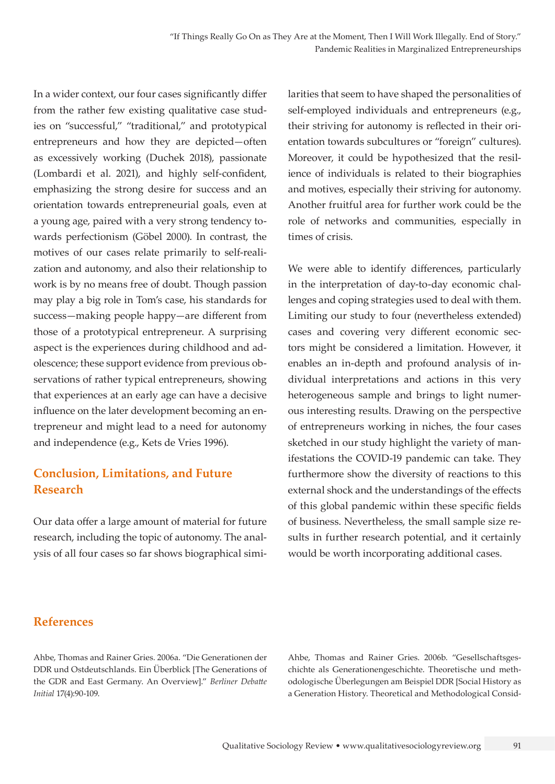In a wider context, our four cases significantly differ from the rather few existing qualitative case studies on "successful," "traditional," and prototypical entrepreneurs and how they are depicted—often as excessively working (Duchek 2018), passionate (Lombardi et al. 2021), and highly self-confident, emphasizing the strong desire for success and an orientation towards entrepreneurial goals, even at a young age, paired with a very strong tendency towards perfectionism (Göbel 2000). In contrast, the motives of our cases relate primarily to self-realization and autonomy, and also their relationship to work is by no means free of doubt. Though passion may play a big role in Tom's case, his standards for success—making people happy—are different from those of a prototypical entrepreneur. A surprising aspect is the experiences during childhood and adolescence; these support evidence from previous observations of rather typical entrepreneurs, showing that experiences at an early age can have a decisive influence on the later development becoming an entrepreneur and might lead to a need for autonomy and independence (e.g., Kets de Vries 1996).

# **Conclusion, Limitations, and Future Research**

Our data offer a large amount of material for future research, including the topic of autonomy. The analysis of all four cases so far shows biographical similarities that seem to have shaped the personalities of self-employed individuals and entrepreneurs (e.g., their striving for autonomy is reflected in their orientation towards subcultures or "foreign" cultures). Moreover, it could be hypothesized that the resilience of individuals is related to their biographies and motives, especially their striving for autonomy. Another fruitful area for further work could be the role of networks and communities, especially in times of crisis.

We were able to identify differences, particularly in the interpretation of day-to-day economic challenges and coping strategies used to deal with them. Limiting our study to four (nevertheless extended) cases and covering very different economic sectors might be considered a limitation. However, it enables an in-depth and profound analysis of individual interpretations and actions in this very heterogeneous sample and brings to light numerous interesting results. Drawing on the perspective of entrepreneurs working in niches, the four cases sketched in our study highlight the variety of manifestations the COVID-19 pandemic can take. They furthermore show the diversity of reactions to this external shock and the understandings of the effects of this global pandemic within these specific fields of business. Nevertheless, the small sample size results in further research potential, and it certainly would be worth incorporating additional cases.

## **References**

Ahbe, Thomas and Rainer Gries. 2006a. "Die Generationen der DDR und Ostdeutschlands. Ein Überblick [The Generations of the GDR and East Germany. An Overview]." *Berliner Debatte Initial* 17(4):90-109.

Ahbe, Thomas and Rainer Gries. 2006b. "Gesellschaftsgeschichte als Generationengeschichte. Theoretische und methodologische Überlegungen am Beispiel DDR [Social History as a Generation History. Theoretical and Methodological Consid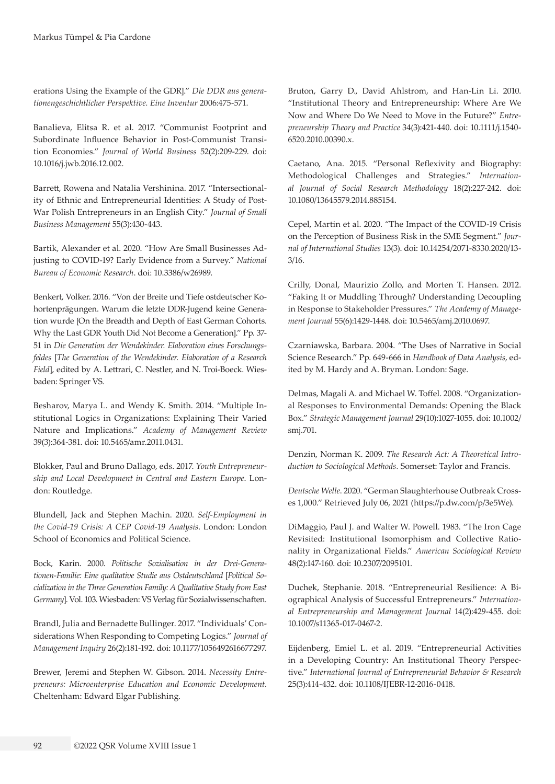erations Using the Example of the GDR]." *Die DDR aus generationengeschichtlicher Perspektive. Eine Inventur* 2006:475-571.

Banalieva, Elitsa R. et al. 2017. "Communist Footprint and Subordinate Influence Behavior in Post-Communist Transition Economies." *Journal of World Business* 52(2):209-229. doi: 10.1016/j.jwb.2016.12.002.

Barrett, Rowena and Natalia Vershinina. 2017. "Intersectionality of Ethnic and Entrepreneurial Identities: A Study of Post-War Polish Entrepreneurs in an English City." *Journal of Small Business Management* 55(3):430-443.

Bartik, Alexander et al. 2020. "How Are Small Businesses Adjusting to COVID-19? Early Evidence from a Survey." *National Bureau of Economic Research*. doi: 10.3386/w26989.

Benkert, Volker. 2016. "Von der Breite und Tiefe ostdeutscher Kohortenprägungen. Warum die letzte DDR-Jugend keine Generation wurde [On the Breadth and Depth of East German Cohorts. Why the Last GDR Youth Did Not Become a Generation]." Pp. 37- 51 in *Die Generation der Wendekinder. Elaboration eines Forschungsfeldes* [*The Generation of the Wendekinder. Elaboration of a Research Field*], edited by A. Lettrari, C. Nestler, and N. Troi-Boeck. Wiesbaden: Springer VS.

Besharov, Marya L. and Wendy K. Smith. 2014. "Multiple Institutional Logics in Organizations: Explaining Their Varied Nature and Implications." *Academy of Management Review* 39(3):364-381. doi: 10.5465/amr.2011.0431.

Blokker, Paul and Bruno Dallago, eds. 2017. *Youth Entrepreneurship and Local Development in Central and Eastern Europe*. London: Routledge.

Blundell, Jack and Stephen Machin. 2020. *Self-Employment in the Covid-19 Crisis: A CEP Covid-19 Analysis*. London: London School of Economics and Political Science.

Bock, Karin. 2000. *Politische Sozialisation in der Drei-Generationen-Familie: Eine qualitative Studie aus Ostdeutschland* [*Political Socialization in the Three Generation Family: A Qualitative Study from East Germany*]. Vol. 103. Wiesbaden: VS Verlag für Sozialwissenschaften.

Brandl, Julia and Bernadette Bullinger. 2017. "Individuals' Considerations When Responding to Competing Logics." *Journal of Management Inquiry* 26(2):181-192. doi: 10.1177/1056492616677297.

Brewer, Jeremi and Stephen W. Gibson. 2014. *Necessity Entrepreneurs: Microenterprise Education and Economic Development*. Cheltenham: Edward Elgar Publishing.

Bruton, Garry D., David Ahlstrom, and Han-Lin Li. 2010. "Institutional Theory and Entrepreneurship: Where Are We Now and Where Do We Need to Move in the Future?" *Entrepreneurship Theory and Practice* 34(3):421-440. doi: 10.1111/j.1540- 6520.2010.00390.x.

Caetano, Ana. 2015. "Personal Reflexivity and Biography: Methodological Challenges and Strategies." *International Journal of Social Research Methodology* 18(2):227-242. doi: 10.1080/13645579.2014.885154.

Cepel, Martin et al. 2020. "The Impact of the COVID-19 Crisis on the Perception of Business Risk in the SME Segment." *Journal of International Studies* 13(3). doi: 10.14254/2071-8330.2020/13- 3/16.

Crilly, Donal, Maurizio Zollo, and Morten T. Hansen. 2012. "Faking It or Muddling Through? Understanding Decoupling in Response to Stakeholder Pressures." *The Academy of Management Journal* 55(6):1429-1448. doi: 10.5465/amj.2010.0697.

Czarniawska, Barbara. 2004. "The Uses of Narrative in Social Science Research." Pp. 649-666 in *Handbook of Data Analysis*, edited by M. Hardy and A. Bryman. London: Sage.

Delmas, Magali A. and Michael W. Toffel. 2008. "Organizational Responses to Environmental Demands: Opening the Black Box." *Strategic Management Journal* 29(10):1027-1055. doi: 10.1002/ smj.701.

Denzin, Norman K. 2009. *The Research Act: A Theoretical Introduction to Sociological Methods.* Somerset: Taylor and Francis.

*Deutsche Welle*. 2020. "German Slaughterhouse Outbreak Crosses 1,000." Retrieved July 06, 2021 (https://p.dw.com/p/3e5We).

DiMaggio, Paul J. and Walter W. Powell. 1983. "The Iron Cage Revisited: Institutional Isomorphism and Collective Rationality in Organizational Fields." *American Sociological Review* 48(2):147-160. doi: 10.2307/2095101.

Duchek, Stephanie. 2018. "Entrepreneurial Resilience: A Biographical Analysis of Successful Entrepreneurs." *International Entrepreneurship and Management Journal* 14(2):429-455. doi: 10.1007/s11365-017-0467-2.

Eijdenberg, Emiel L. et al. 2019. "Entrepreneurial Activities in a Developing Country: An Institutional Theory Perspective." *International Journal of Entrepreneurial Behavior & Research* 25(3):414-432. doi: 10.1108/IJEBR-12-2016-0418.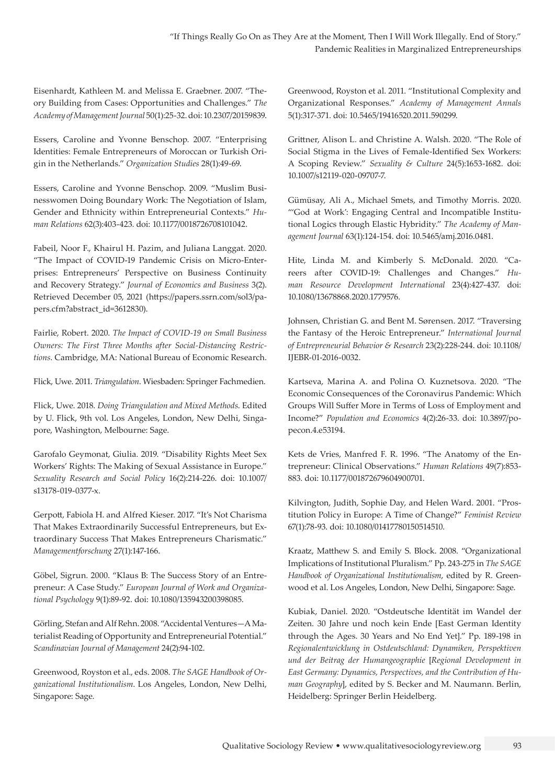Eisenhardt, Kathleen M. and Melissa E. Graebner. 2007. "Theory Building from Cases: Opportunities and Challenges." *The Academy of Management Journal* 50(1):25-32. doi: 10.2307/20159839.

Essers, Caroline and Yvonne Benschop. 2007. "Enterprising Identities: Female Entrepreneurs of Moroccan or Turkish Origin in the Netherlands." *Organization Studies* 28(1):49-69.

Essers, Caroline and Yvonne Benschop. 2009. "Muslim Businesswomen Doing Boundary Work: The Negotiation of Islam, Gender and Ethnicity within Entrepreneurial Contexts." *Human Relations* 62(3):403-423. doi: 10.1177/0018726708101042.

Fabeil, Noor F., Khairul H. Pazim, and Juliana Langgat. 2020. "The Impact of COVID-19 Pandemic Crisis on Micro-Enterprises: Entrepreneurs' Perspective on Business Continuity and Recovery Strategy." *Journal of Economics and Business* 3(2). Retrieved December 05, 2021 ([https://papers.ssrn.com/sol3/pa](https://papers.ssrn.com/sol3/papers.cfm?abstract_id=3612830)[pers.cfm?abstract\\_id=3612830\)](https://papers.ssrn.com/sol3/papers.cfm?abstract_id=3612830).

Fairlie, Robert. 2020. *The Impact of COVID-19 on Small Business Owners: The First Three Months after Social-Distancing Restrictions*. Cambridge, MA: National Bureau of Economic Research.

Flick, Uwe. 2011. *Triangulation*. Wiesbaden: Springer Fachmedien.

Flick, Uwe. 2018. *Doing Triangulation and Mixed Methods*. Edited by U. Flick, 9th vol. Los Angeles, London, New Delhi, Singapore, Washington, Melbourne: Sage.

Garofalo Geymonat, Giulia. 2019. "Disability Rights Meet Sex Workers' Rights: The Making of Sexual Assistance in Europe." *Sexuality Research and Social Policy* 16(2):214-226. doi: 10.1007/ s13178-019-0377-x.

Gerpott, Fabiola H. and Alfred Kieser. 2017. "It's Not Charisma That Makes Extraordinarily Successful Entrepreneurs, but Extraordinary Success That Makes Entrepreneurs Charismatic." *Managementforschung* 27(1):147-166.

Göbel, Sigrun. 2000. "Klaus B: The Success Story of an Entrepreneur: A Case Study." *European Journal of Work and Organizational Psychology* 9(1):89-92. doi: 10.1080/135943200398085.

Görling, Stefan and Alf Rehn. 2008. "Accidental Ventures—AMaterialist Reading of Opportunity and Entrepreneurial Potential." *Scandinavian Journal of Management* 24(2):94-102.

Greenwood, Royston et al., eds. 2008. *The SAGE Handbook of Organizational Institutionalism*. Los Angeles, London, New Delhi, Singapore: Sage.

Greenwood, Royston et al. 2011. "Institutional Complexity and Organizational Responses." *Academy of Management Annals* 5(1):317-371. doi: 10.5465/19416520.2011.590299.

Grittner, Alison L. and Christine A. Walsh. 2020. "The Role of Social Stigma in the Lives of Female-Identified Sex Workers: A Scoping Review." *Sexuality & Culture* 24(5):1653-1682. doi: 10.1007/s12119-020-09707-7.

Gümüsay, Ali A., Michael Smets, and Timothy Morris. 2020. "'God at Work': Engaging Central and Incompatible Institutional Logics through Elastic Hybridity." *The Academy of Management Journal* 63(1):124-154. doi: 10.5465/amj.2016.0481.

Hite, Linda M. and Kimberly S. McDonald. 2020. "Careers after COVID-19: Challenges and Changes." *Human Resource Development International* 23(4):427-437. doi: 10.1080/13678868.2020.1779576.

Johnsen, Christian G. and Bent M. Sørensen. 2017. "Traversing the Fantasy of the Heroic Entrepreneur." *International Journal of Entrepreneurial Behavior & Research* 23(2):228-244. doi: 10.1108/ IJEBR-01-2016-0032.

Kartseva, Marina A. and Polina O. Kuznetsova. 2020. "The Economic Consequences of the Coronavirus Pandemic: Which Groups Will Suffer More in Terms of Loss of Employment and Income?" *Population and Economics* 4(2):26-33. doi: 10.3897/popecon.4.e53194.

Kets de Vries, Manfred F. R. 1996. "The Anatomy of the Entrepreneur: Clinical Observations." *Human Relations* 49(7):853- 883. doi: 10.1177/001872679604900701.

Kilvington, Judith, Sophie Day, and Helen Ward. 2001. "Prostitution Policy in Europe: A Time of Change?" *Feminist Review* 67(1):78-93. doi: 10.1080/01417780150514510.

Kraatz, Matthew S. and Emily S. Block. 2008. "Organizational Implications of Institutional Pluralism." Pp. 243-275 in *The SAGE Handbook of Organizational Institutionalism*, edited by R. Greenwood et al. Los Angeles, London, New Delhi, Singapore: Sage.

Kubiak, Daniel. 2020. "Ostdeutsche Identität im Wandel der Zeiten. 30 Jahre und noch kein Ende [East German Identity through the Ages. 30 Years and No End Yet]." Pp. 189-198 in *Regionalentwicklung in Ostdeutschland: Dynamiken, Perspektiven und der Beitrag der Humangeographie* [*Regional Development in East Germany: Dynamics, Perspectives, and the Contribution of Human Geography*], edited by S. Becker and M. Naumann. Berlin, Heidelberg: Springer Berlin Heidelberg.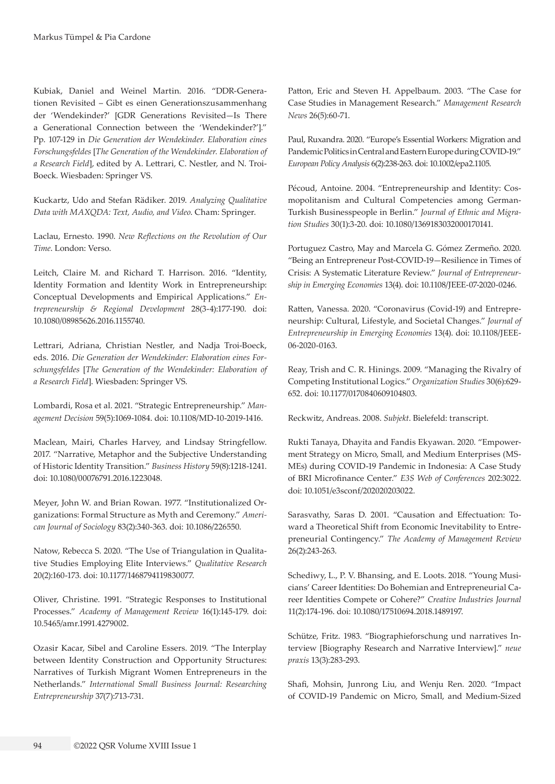Kubiak, Daniel and Weinel Martin. 2016. "DDR-Generationen Revisited – Gibt es einen Generationszusammenhang der 'Wendekinder?' [GDR Generations Revisited—Is There a Generational Connection between the 'Wendekinder?']." Pp. 107-129 in *Die Generation der Wendekinder. Elaboration eines Forschungsfeldes* [*The Generation of the Wendekinder. Elaboration of a Research Field*], edited by A. Lettrari, C. Nestler, and N. Troi-Boeck. Wiesbaden: Springer VS.

Kuckartz, Udo and Stefan Rädiker. 2019. *Analyzing Qualitative Data with MAXQDA: Text, Audio, and Video*. Cham: Springer.

Laclau, Ernesto. 1990. *New Reflections on the Revolution of Our Time*. London: Verso.

Leitch, Claire M. and Richard T. Harrison. 2016. "Identity, Identity Formation and Identity Work in Entrepreneurship: Conceptual Developments and Empirical Applications." *Entrepreneurship & Regional Development* 28(3-4):177-190. doi: 10.1080/08985626.2016.1155740.

Lettrari, Adriana, Christian Nestler, and Nadja Troi-Boeck, eds. 2016. *Die Generation der Wendekinder: Elaboration eines Forschungsfeldes* [*The Generation of the Wendekinder: Elaboration of a Research Field*]. Wiesbaden: Springer VS.

Lombardi, Rosa et al. 2021. "Strategic Entrepreneurship." *Management Decision* 59(5):1069-1084. doi: 10.1108/MD-10-2019-1416.

Maclean, Mairi, Charles Harvey, and Lindsay Stringfellow. 2017. "Narrative, Metaphor and the Subjective Understanding of Historic Identity Transition." *Business History* 59(8):1218-1241. doi: 10.1080/00076791.2016.1223048.

Meyer, John W. and Brian Rowan. 1977. "Institutionalized Organizations: Formal Structure as Myth and Ceremony." *American Journal of Sociology* 83(2):340-363. doi: 10.1086/226550.

Natow, Rebecca S. 2020. "The Use of Triangulation in Qualitative Studies Employing Elite Interviews." *Qualitative Research* 20(2):160-173. doi: 10.1177/1468794119830077.

Oliver, Christine. 1991. "Strategic Responses to Institutional Processes." *Academy of Management Review* 16(1):145-179. doi: 10.5465/amr.1991.4279002.

Ozasir Kacar, Sibel and Caroline Essers. 2019. "The Interplay between Identity Construction and Opportunity Structures: Narratives of Turkish Migrant Women Entrepreneurs in the Netherlands." *International Small Business Journal: Researching Entrepreneurship* 37(7):713-731.

Patton, Eric and Steven H. Appelbaum. 2003. "The Case for Case Studies in Management Research." *Management Research News* 26(5):60-71.

Paul, Ruxandra. 2020. "Europe's Essential Workers: Migration and Pandemic Politics in Central and Eastern Europe during COVID‐19." *European Policy Analysis* 6(2):238-263. doi: 10.1002/epa2.1105.

Pécoud, Antoine. 2004. "Entrepreneurship and Identity: Cosmopolitanism and Cultural Competencies among German-Turkish Businesspeople in Berlin." *Journal of Ethnic and Migration Studies* 30(1):3-20. doi: 10.1080/1369183032000170141.

Portuguez Castro, May and Marcela G. Gómez Zermeño. 2020. "Being an Entrepreneur Post-COVID-19—Resilience in Times of Crisis: A Systematic Literature Review." *Journal of Entrepreneurship in Emerging Economies* 13(4). doi: 10.1108/JEEE-07-2020-0246.

Ratten, Vanessa. 2020. "Coronavirus (Covid-19) and Entrepreneurship: Cultural, Lifestyle, and Societal Changes." *Journal of Entrepreneurship in Emerging Economies* 13(4). doi: 10.1108/JEEE-06-2020-0163.

Reay, Trish and C. R. Hinings. 2009. "Managing the Rivalry of Competing Institutional Logics." *Organization Studies* 30(6):629- 652. doi: 10.1177/0170840609104803.

Reckwitz, Andreas. 2008. *Subjekt*. Bielefeld: transcript.

Rukti Tanaya, Dhayita and Fandis Ekyawan. 2020. "Empowerment Strategy on Micro, Small, and Medium Enterprises (MS-MEs) during COVID-19 Pandemic in Indonesia: A Case Study of BRI Microfinance Center." *E3S Web of Conferences* 202:3022. doi: 10.1051/e3sconf/202020203022.

Sarasvathy, Saras D. 2001. "Causation and Effectuation: Toward a Theoretical Shift from Economic Inevitability to Entrepreneurial Contingency." *The Academy of Management Review* 26(2):243-263.

Schediwy, L., P. V. Bhansing, and E. Loots. 2018. "Young Musicians' Career Identities: Do Bohemian and Entrepreneurial Career Identities Compete or Cohere?" *Creative Industries Journal* 11(2):174-196. doi: 10.1080/17510694.2018.1489197.

Schütze, Fritz. 1983. "Biographieforschung und narratives Interview [Biography Research and Narrative Interview]." *neue praxis* 13(3):283-293.

Shafi, Mohsin, Junrong Liu, and Wenju Ren. 2020. "Impact of COVID-19 Pandemic on Micro, Small, and Medium-Sized